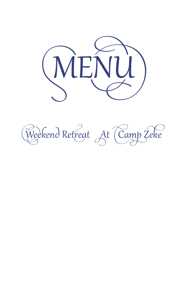

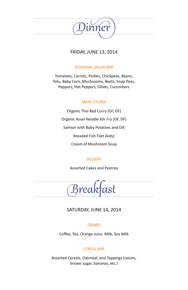

## FRIDAY, JUNE 13, 2014

## SEASONAL SALAD BAR

Tomatoes, Carrots, Pickles, Chickpeas, Beans, Tofu, Baby Corn, Mushrooms, Beets, Snap Peas, Peppers, Hot Peppers, Olives, Cucumbers

## MAIN COURSE

Organic Thai Red Curry (GF, DF) Organic Asian Noodle Stir Fry (GF, DF) Salmon with Baby Potatoes and Dill Breaded Fish Filet (kids) Cream of Mushroom Soup

## DESSERT

Assorted Cakes and Pastries

Breakfast

# SATURDAY, JUNE 14, 2014

## **DRINKS**

Coffee, Tea, Orange Juice, Milk, Soy Milk

## CEREAL BAR

Assorted Cereals, Oatmeal, and Toppings (raisins, brown sugar, bananas, etc.)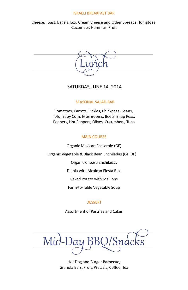#### ISRAELI BREAKFAST BAR

Cheese, Toast, Bagels, Lox, Cream Cheese and Other Spreads, Tomatoes, Cucumber, Hummus, Fruit



## SATURDAY, JUNE 14, 2014

#### SEASONAL SALAD BAR

Tomatoes, Carrots, Pickles, Chickpeas, Beans, Tofu, Baby Corn, Mushrooms, Beets, Snap Peas, Peppers, Hot Peppers, Olives, Cucumbers, Tuna

### MAIN COURSE

Organic Mexican Casserole (GF)

Organic Vegetable & Black Bean Enchiladas (GF, DF)

Organic Cheese Enchiladas

Tilapia with Mexican Fiesta Rice

Baked Potato with Scallions

Farm-to-Table Vegetable Soup

#### **DESSERT**

Assortment of Pastries and Cakes

Mid-Day

Hot Dog and Burger Barbecue, Granola Bars, Fruit, Pretzels, Coffee, Tea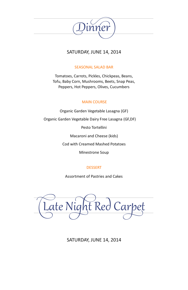

# SATURDAY, JUNE 14, 2014

## SEASONAL SALAD BAR

Tomatoes, Carrots, Pickles, Chickpeas, Beans, Tofu, Baby Corn, Mushrooms, Beets, Snap Peas, Peppers, Hot Peppers, Olives, Cucumbers

## MAIN COURSE

Organic Garden Vegetable Lasagna (GF) Organic Garden Vegetable Dairy Free Lasagna (GF,DF) Pesto Tortellini Macaroni and Cheese (kids) Cod with Creamed Mashed Potatoes Minestrone Soup

## **DESSERT**

Assortment of Pastries and Cakes

Late Night Red Carpet

SATURDAY, JUNE 14, 2014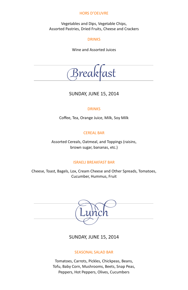## HORS D'OEUVRE

Vegetables and Dips, Vegetable Chips, Assorted Pastries, Dried Fruits, Cheese and Crackers

#### **DRINKS**

Wine and Assorted Juices

reaktast

## SUNDAY, JUNE 15, 2014

### **DRINKS**

Coffee, Tea, Orange Juice, Milk, Soy Milk

## CEREAL BAR

Assorted Cereals, Oatmeal, and Toppings (raisins, brown sugar, bananas, etc.)

### ISRAELI BREAKFAST BAR

Cheese, Toast, Bagels, Lox, Cream Cheese and Other Spreads, Tomatoes, Cucumber, Hummus, Fruit



SUNDAY, JUNE 15, 2014

#### SEASONAL SALAD BAR

Tomatoes, Carrots, Pickles, Chickpeas, Beans, Tofu, Baby Corn, Mushrooms, Beets, Snap Peas, Peppers, Hot Peppers, Olives, Cucumbers